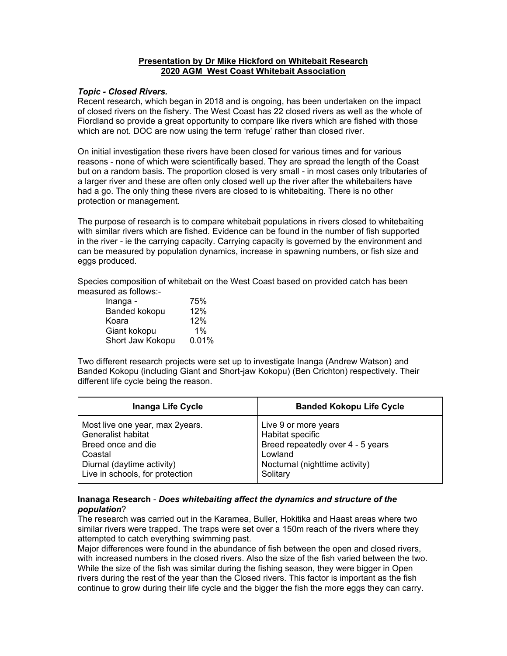## **Presentation by Dr Mike Hickford on Whitebait Research 2020 AGM West Coast Whitebait Association**

## *Topic - Closed Rivers.*

Recent research, which began in 2018 and is ongoing, has been undertaken on the impact of closed rivers on the fishery. The West Coast has 22 closed rivers as well as the whole of Fiordland so provide a great opportunity to compare like rivers which are fished with those which are not. DOC are now using the term 'refuge' rather than closed river.

On initial investigation these rivers have been closed for various times and for various reasons - none of which were scientifically based. They are spread the length of the Coast but on a random basis. The proportion closed is very small - in most cases only tributaries of a larger river and these are often only closed well up the river after the whitebaiters have had a go. The only thing these rivers are closed to is whitebaiting. There is no other protection or management.

The purpose of research is to compare whitebait populations in rivers closed to whitebaiting with similar rivers which are fished. Evidence can be found in the number of fish supported in the river - ie the carrying capacity. Carrying capacity is governed by the environment and can be measured by population dynamics, increase in spawning numbers, or fish size and eggs produced.

Species composition of whitebait on the West Coast based on provided catch has been measured as follows:-

| Inanga -         | 75%   |
|------------------|-------|
| Banded kokopu    | 12%   |
| Koara            | 12%   |
| Giant kokopu     | $1\%$ |
| Short Jaw Kokopu | 0.01% |

Two different research projects were set up to investigate Inanga (Andrew Watson) and Banded Kokopu (including Giant and Short-jaw Kokopu) (Ben Crichton) respectively. Their different life cycle being the reason.

| <b>Inanga Life Cycle</b>        | <b>Banded Kokopu Life Cycle</b>   |
|---------------------------------|-----------------------------------|
| Most live one year, max 2years. | Live 9 or more years              |
| Generalist habitat              | Habitat specific                  |
| Breed once and die              | Breed repeatedly over 4 - 5 years |
| Coastal                         | Lowland                           |
| Diurnal (daytime activity)      | Nocturnal (nighttime activity)    |
| Live in schools, for protection | Solitary                          |

## **Inanaga Research** - *Does whitebaiting affect the dynamics and structure of the population*?

The research was carried out in the Karamea, Buller, Hokitika and Haast areas where two similar rivers were trapped. The traps were set over a 150m reach of the rivers where they attempted to catch everything swimming past.

Major differences were found in the abundance of fish between the open and closed rivers, with increased numbers in the closed rivers. Also the size of the fish varied between the two. While the size of the fish was similar during the fishing season, they were bigger in Open rivers during the rest of the year than the Closed rivers. This factor is important as the fish continue to grow during their life cycle and the bigger the fish the more eggs they can carry.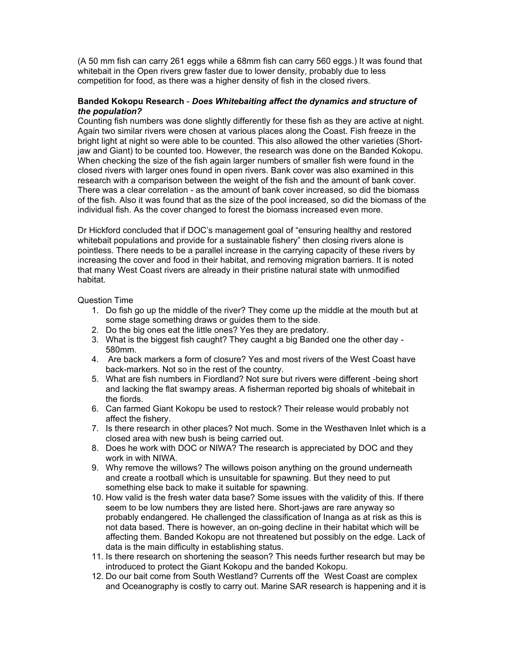(A 50 mm fish can carry 261 eggs while a 68mm fish can carry 560 eggs.) It was found that whitebait in the Open rivers grew faster due to lower density, probably due to less competition for food, as there was a higher density of fish in the closed rivers.

## **Banded Kokopu Research** - *Does Whitebaiting affect the dynamics and structure of the population?*

Counting fish numbers was done slightly differently for these fish as they are active at night. Again two similar rivers were chosen at various places along the Coast. Fish freeze in the bright light at night so were able to be counted. This also allowed the other varieties (Shortjaw and Giant) to be counted too. However, the research was done on the Banded Kokopu. When checking the size of the fish again larger numbers of smaller fish were found in the closed rivers with larger ones found in open rivers. Bank cover was also examined in this research with a comparison between the weight of the fish and the amount of bank cover. There was a clear correlation - as the amount of bank cover increased, so did the biomass of the fish. Also it was found that as the size of the pool increased, so did the biomass of the individual fish. As the cover changed to forest the biomass increased even more.

Dr Hickford concluded that if DOC's management goal of "ensuring healthy and restored whitebait populations and provide for a sustainable fishery" then closing rivers alone is pointless. There needs to be a parallel increase in the carrying capacity of these rivers by increasing the cover and food in their habitat, and removing migration barriers. It is noted that many West Coast rivers are already in their pristine natural state with unmodified habitat.

Question Time

- 1. Do fish go up the middle of the river? They come up the middle at the mouth but at some stage something draws or guides them to the side.
- 2. Do the big ones eat the little ones? Yes they are predatory.
- 3. What is the biggest fish caught? They caught a big Banded one the other day 580mm.
- 4. Are back markers a form of closure? Yes and most rivers of the West Coast have back-markers. Not so in the rest of the country.
- 5. What are fish numbers in Fiordland? Not sure but rivers were different -being short and lacking the flat swampy areas. A fisherman reported big shoals of whitebait in the fiords.
- 6. Can farmed Giant Kokopu be used to restock? Their release would probably not affect the fishery.
- 7. Is there research in other places? Not much. Some in the Westhaven Inlet which is a closed area with new bush is being carried out.
- 8. Does he work with DOC or NIWA? The research is appreciated by DOC and they work in with NIWA
- 9. Why remove the willows? The willows poison anything on the ground underneath and create a rootball which is unsuitable for spawning. But they need to put something else back to make it suitable for spawning.
- 10. How valid is the fresh water data base? Some issues with the validity of this. If there seem to be low numbers they are listed here. Short-jaws are rare anyway so probably endangered. He challenged the classification of Inanga as at risk as this is not data based. There is however, an on-going decline in their habitat which will be affecting them. Banded Kokopu are not threatened but possibly on the edge. Lack of data is the main difficulty in establishing status.
- 11. Is there research on shortening the season? This needs further research but may be introduced to protect the Giant Kokopu and the banded Kokopu.
- 12. Do our bait come from South Westland? Currents off the West Coast are complex and Oceanography is costly to carry out. Marine SAR research is happening and it is